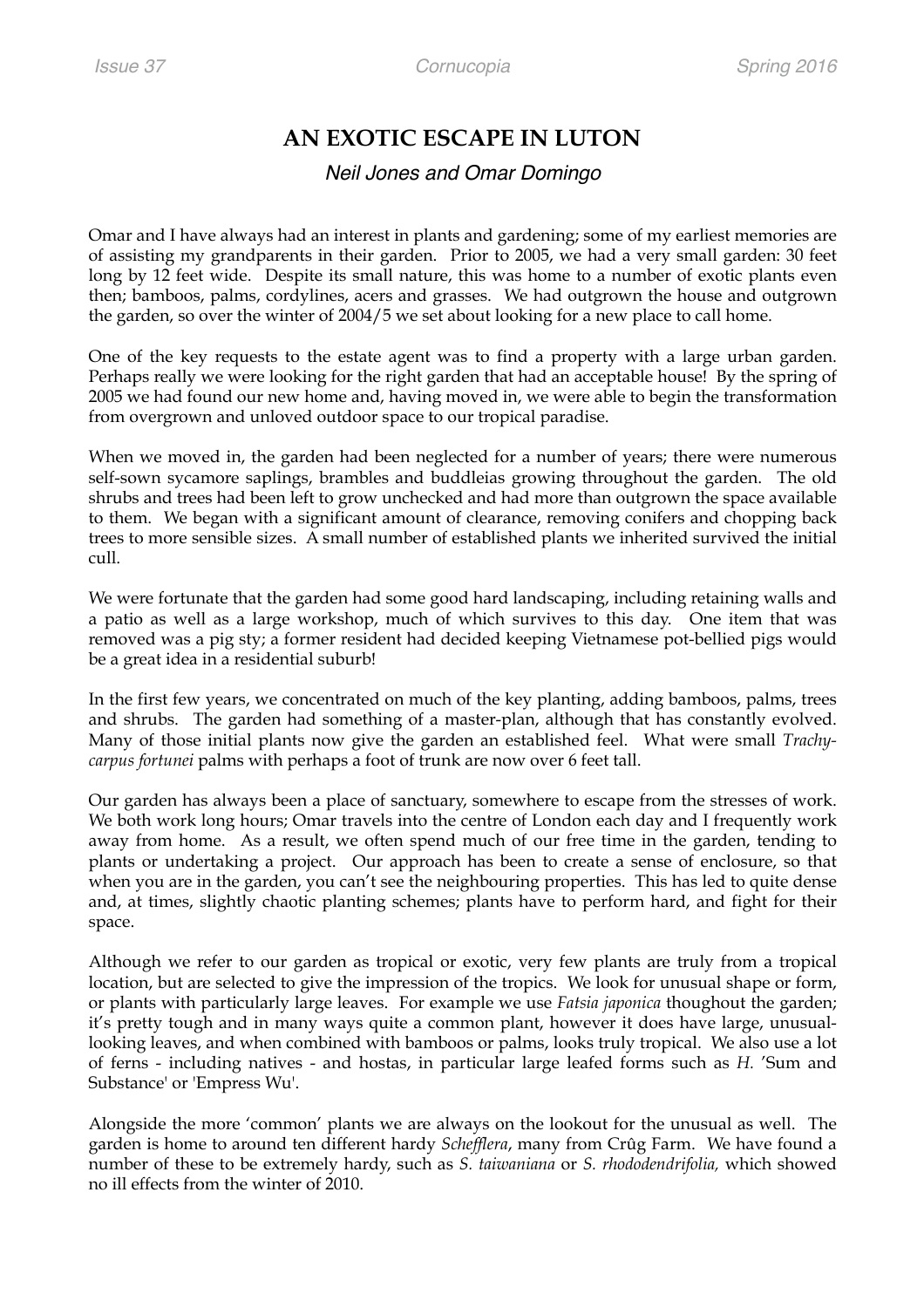## **AN EXOTIC ESCAPE IN LUTON**

## *Neil Jones and Omar Domingo*

Omar and I have always had an interest in plants and gardening; some of my earliest memories are of assisting my grandparents in their garden. Prior to 2005, we had a very small garden: 30 feet long by 12 feet wide. Despite its small nature, this was home to a number of exotic plants even then; bamboos, palms, cordylines, acers and grasses. We had outgrown the house and outgrown the garden, so over the winter of 2004/5 we set about looking for a new place to call home.

One of the key requests to the estate agent was to find a property with a large urban garden. Perhaps really we were looking for the right garden that had an acceptable house! By the spring of 2005 we had found our new home and, having moved in, we were able to begin the transformation from overgrown and unloved outdoor space to our tropical paradise.

When we moved in, the garden had been neglected for a number of years; there were numerous self-sown sycamore saplings, brambles and buddleias growing throughout the garden. The old shrubs and trees had been left to grow unchecked and had more than outgrown the space available to them. We began with a significant amount of clearance, removing conifers and chopping back trees to more sensible sizes. A small number of established plants we inherited survived the initial cull.

We were fortunate that the garden had some good hard landscaping, including retaining walls and a patio as well as a large workshop, much of which survives to this day. One item that was removed was a pig sty; a former resident had decided keeping Vietnamese pot-bellied pigs would be a great idea in a residential suburb!

In the first few years, we concentrated on much of the key planting, adding bamboos, palms, trees and shrubs. The garden had something of a master-plan, although that has constantly evolved. Many of those initial plants now give the garden an established feel. What were small *Trachycarpus fortunei* palms with perhaps a foot of trunk are now over 6 feet tall.

Our garden has always been a place of sanctuary, somewhere to escape from the stresses of work. We both work long hours; Omar travels into the centre of London each day and I frequently work away from home. As a result, we often spend much of our free time in the garden, tending to plants or undertaking a project. Our approach has been to create a sense of enclosure, so that when you are in the garden, you can't see the neighbouring properties. This has led to quite dense and, at times, slightly chaotic planting schemes; plants have to perform hard, and fight for their space.

Although we refer to our garden as tropical or exotic, very few plants are truly from a tropical location, but are selected to give the impression of the tropics. We look for unusual shape or form, or plants with particularly large leaves. For example we use *Fatsia japonica* thoughout the garden; it's pretty tough and in many ways quite a common plant, however it does have large, unusuallooking leaves, and when combined with bamboos or palms, looks truly tropical. We also use a lot of ferns - including natives - and hostas, in particular large leafed forms such as *H.* 'Sum and Substance' or 'Empress Wu'.

Alongside the more 'common' plants we are always on the lookout for the unusual as well. The garden is home to around ten different hardy *Schefflera*, many from Crûg Farm. We have found a number of these to be extremely hardy, such as *S. taiwaniana* or *S. rhododendrifolia,* which showed no ill effects from the winter of 2010.